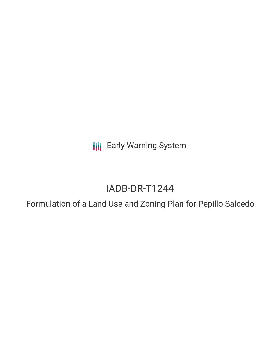**III** Early Warning System

# IADB-DR-T1244

Formulation of a Land Use and Zoning Plan for Pepillo Salcedo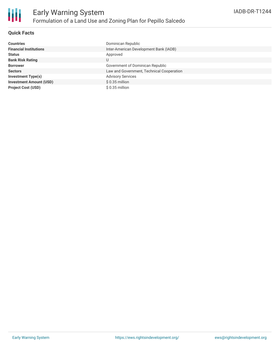

### **Quick Facts**

| <b>Countries</b>               | Dominican Republic                        |
|--------------------------------|-------------------------------------------|
| <b>Financial Institutions</b>  | Inter-American Development Bank (IADB)    |
| <b>Status</b>                  | Approved                                  |
| <b>Bank Risk Rating</b>        | U                                         |
| <b>Borrower</b>                | Government of Dominican Republic          |
| <b>Sectors</b>                 | Law and Government, Technical Cooperation |
| Investment Type(s)             | <b>Advisory Services</b>                  |
| <b>Investment Amount (USD)</b> | $$0.35$ million                           |
| <b>Project Cost (USD)</b>      | $$0.35$ million                           |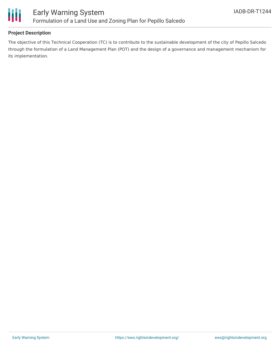

## **Project Description**

The objective of this Technical Cooperation (TC) is to contribute to the sustainable development of the city of Pepillo Salcedo through the formulation of a Land Management Plan (POT) and the design of a governance and management mechanism for its implementation.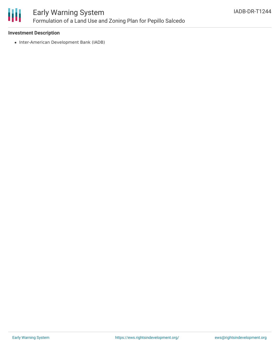

#### **Investment Description**

• Inter-American Development Bank (IADB)